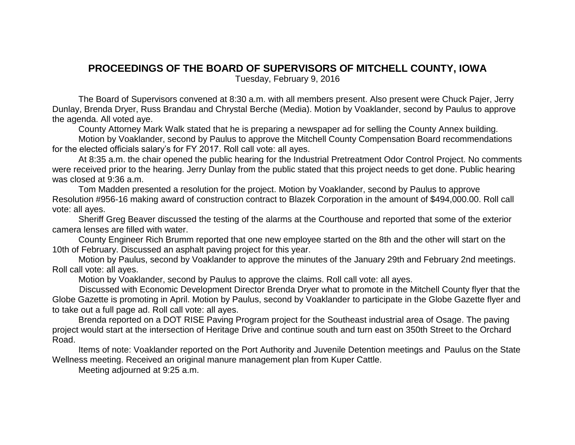## **PROCEEDINGS OF THE BOARD OF SUPERVISORS OF MITCHELL COUNTY, IOWA**

Tuesday, February 9, 2016

The Board of Supervisors convened at 8:30 a.m. with all members present. Also present were Chuck Pajer, Jerry Dunlay, Brenda Dryer, Russ Brandau and Chrystal Berche (Media). Motion by Voaklander, second by Paulus to approve the agenda. All voted aye.

County Attorney Mark Walk stated that he is preparing a newspaper ad for selling the County Annex building.

Motion by Voaklander, second by Paulus to approve the Mitchell County Compensation Board recommendations for the elected officials salary's for FY 2017. Roll call vote: all ayes.

At 8:35 a.m. the chair opened the public hearing for the Industrial Pretreatment Odor Control Project. No comments were received prior to the hearing. Jerry Dunlay from the public stated that this project needs to get done. Public hearing was closed at 9:36 a.m.

Tom Madden presented a resolution for the project. Motion by Voaklander, second by Paulus to approve Resolution #956-16 making award of construction contract to Blazek Corporation in the amount of \$494,000.00. Roll call vote: all ayes.

Sheriff Greg Beaver discussed the testing of the alarms at the Courthouse and reported that some of the exterior camera lenses are filled with water.

County Engineer Rich Brumm reported that one new employee started on the 8th and the other will start on the 10th of February. Discussed an asphalt paving project for this year.

Motion by Paulus, second by Voaklander to approve the minutes of the January 29th and February 2nd meetings. Roll call vote: all ayes.

Motion by Voaklander, second by Paulus to approve the claims. Roll call vote: all ayes.

 Discussed with Economic Development Director Brenda Dryer what to promote in the Mitchell County flyer that the Globe Gazette is promoting in April. Motion by Paulus, second by Voaklander to participate in the Globe Gazette flyer and to take out a full page ad. Roll call vote: all ayes.

Brenda reported on a DOT RISE Paving Program project for the Southeast industrial area of Osage. The paving project would start at the intersection of Heritage Drive and continue south and turn east on 350th Street to the Orchard Road.

Items of note: Voaklander reported on the Port Authority and Juvenile Detention meetings and Paulus on the State Wellness meeting. Received an original manure management plan from Kuper Cattle.

Meeting adjourned at 9:25 a.m.